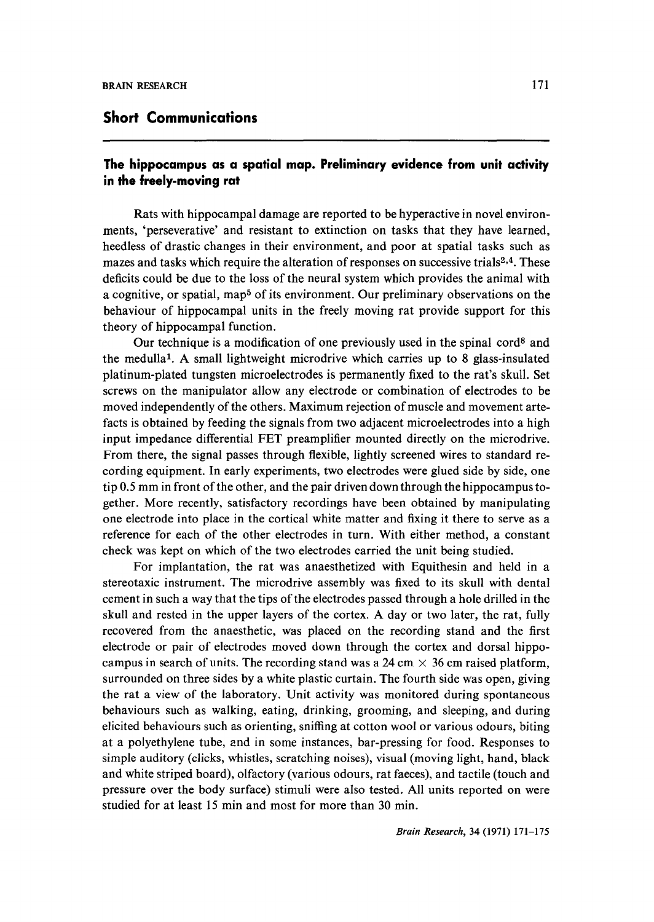## **Short Communications**

## **The hippocampus as a spatial map. Preliminary evidence from unit activity in the freely-moving rat**

Rats with hippocampal damage are reported to be hyperactive in novel environments, 'perseverative' and resistant to extinction on tasks that they have learned, heedless of drastic changes in their environment, and poor at spatial tasks such as mazes and tasks which require the alteration of responses on successive trials  $2,4$ . These deficits could be due to the loss of the neural system which provides the animal with a cognitive, or spatial, map<sup>5</sup> of its environment. Our preliminary observations on the behaviour of hippocampal units in the freely moving rat provide support for this theory of hippocampal function.

Our technique is a modification of one previously used in the spinal cord<sup>8</sup> and the medulla<sup>1</sup>. A small lightweight microdrive which carries up to 8 glass-insulated platinum-plated tungsten microelectrodes is permanently fixed to the rat's skull. Set screws on the manipulator allow any electrode or combination of electrodes to be moved independently of the others. Maximum rejection of muscle and movement artefacts is obtained by feeding the signals from two adjacent microelectrodes into a high input impedance differential FET preamplifier mounted directly on the microdrive. From there, the signal passes through flexible, lightly screened wires to standard recording equipment. In early experiments, two electrodes were glued side by side, one tip 0.5 mm in front of the other, and the pair driven down through the hippocampus together. More recently, satisfactory recordings have been obtained by manipulating one electrode into place in the cortical white matter and fixing it there to serve as a reference for each of the other electrodes in turn. With either method, a constant check was kept on which of the two electrodes carried the unit being studied.

For implantation, the rat was anaesthetized with Equithesin and held in a stereotaxic instrument. The microdrive assembly was fixed to its skull with dental cement in such a way that the tips of the electrodes passed through a hole drilled in the skull and rested in the upper layers of the cortex. A day or two later, the rat, fully recovered from the anaesthetic, was placed on the recording stand and the first electrode or pair of electrodes moved down through the cortex and dorsal hippocampus in search of units. The recording stand was a 24 cm  $\times$  36 cm raised platform, surrounded on three sides by a white plastic curtain. The fourth side was open, giving the rat a view of the laboratory. Unit activity was monitored during spontaneous behaviours such as walking, eating, drinking, grooming, and sleeping, and during elicited behaviours such as orienting, sniffing at cotton wool or various odours, biting at a polyethylene tube, and in some instances, bar-pressing for food. Responses to simple auditory (clicks, whistles, scratching noises), visual (moving light, hand, black and white striped board), olfactory (various odours, rat faeces), and tactile (touch and pressure over the body surface) stimuli were also tested. All units reported on were studied for at least 15 min and most for more than 30 min.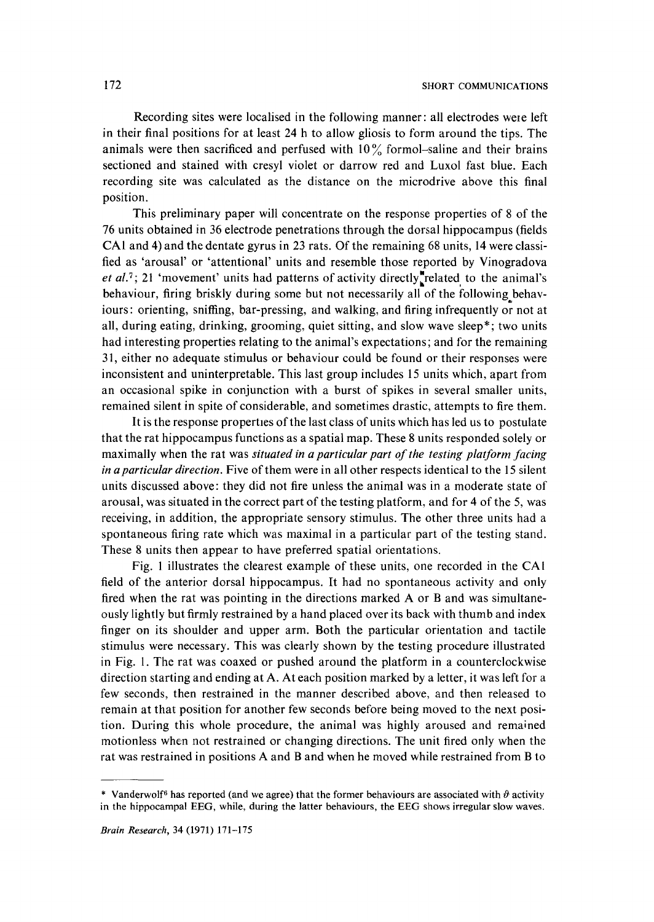Recording sites were localised in the following manner: all electrodes wete left in their final positions for at least 24 h to allow gliosis to form around the tips. The animals were then sacrificed and perfused with  $10\%$  formol-saline and their brains sectioned and stained with cresyl violet or darrow red and Luxol fast blue. Each recording site was calculated as the distance on the microdrive above this final position.

This preliminary paper will concentrate on the response properties of 8 of the 76 units obtained in 36 electrode penetrations through the dorsal hippocampus (fields CA1 and 4) and the dentate gyrus in 23 rats. Of the remaining 68 units, 14 were classified as 'arousal' or 'attentional' units and resemble those reported by Vinogradova et al.<sup>7</sup>; 21 'movement' units had patterns of activity directly related to the animal's behaviour, firing briskly during some but not necessarily all of the following behaviours: orienting, sniffing, bar-pressing, and walking, and firing infrequently or not at all, during eating, drinking, grooming, quiet sitting, and slow wave sleep\*; two units had interesting properties relating to the animal's expectations; and for the remaining 31, either no adequate stimulus or behaviour could be found or their responses were inconsistent and uninterpretable. This last group includes 15 units which, apart from an occasional spike in conjunction with a burst of spikes in several smaller units, remained silent in spite of considerable, and sometimes drastic, attempts to fire them.

It is the response properties of the last class of units which has led us to postulate that the rat hippocampus functions as a spatial map. These 8 units responded solely or maximally when the rat was *situated in a particular part of the testing platform facing in aparticular direction.* Five of them were in all other respects identical to the 15 silent units discussed above: they did not fire unless the animal was in a moderate state of arousal, was situated in the correct part of the testing platform, and for 4 of the 5, was receiving, in addition, the appropriate sensory stimulus. The other three units had a spontaneous firing rate which was maximal in a particular part of the testing stand. These 8 units then appear to have preferred spatial orientations.

Fig. 1 illustrates the clearest example of these units, one recorded in the CA I field of the anterior dorsal hippocampus. It had no spontaneous activity and only fired when the rat was pointing in the directions marked A or B and was simultaneously lightly but firmly restrained by a hand placed over its back with thumb and index finger on its shoulder and upper arm. Both the particular orientation and tactile stimulus were necessary. This was clearly shown by the testing procedure illustrated in Fig. 1. The rat was coaxed or pushed around the platform in a counterclockwise direction starting and ending at A. At each position marked by a letter, it was left for a few seconds, then restrained in the manner described above, and then released to remain at that position for another few seconds before being moved to the next position. During this whole procedure, the animal was highly aroused and remained motionless when not restrained or changing directions. The unit fired only when the rat was restrained in positions A and B and when he moved while restrained from B to

<sup>\*</sup> Vanderwolf<sup>6</sup> has reported (and we agree) that the former behaviours are associated with  $\vartheta$  activity in the hippocampal EEG, while, during the latter behaviours, the EEG shows irregular slow waves.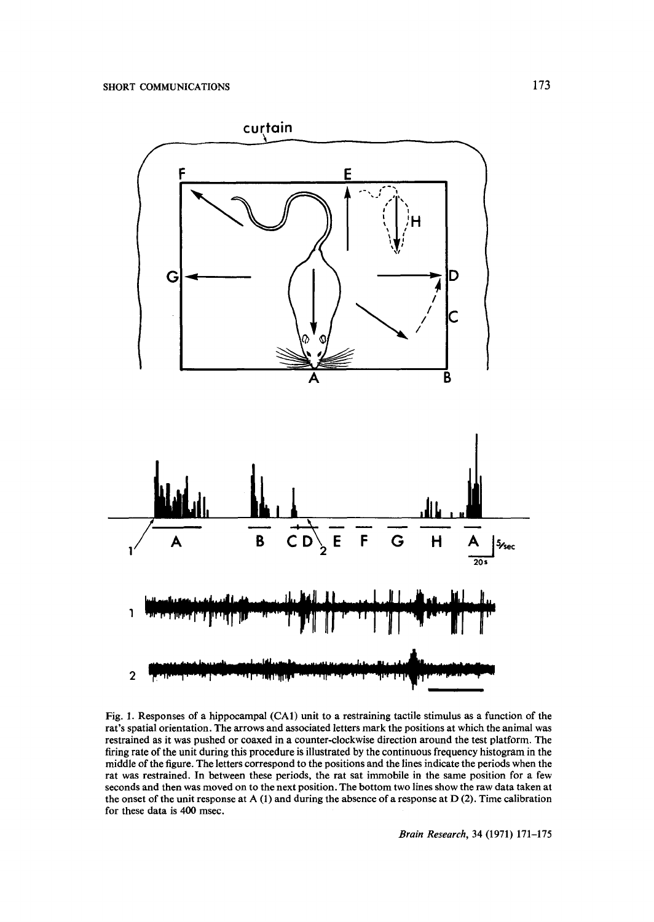

Fig. 1. Responses of a hippocampal (CA1) unit to a restraining tactile stimulus as a function of the rat's spatial orientation. The arrows and associated letters mark the positions at which the animal was restrained as it was pushed or coaxed in a counter-clockwise direction around the test platform. The firing rate of the unit during this procedure is illustrated by the continuous frequency histogram in the middle of the figure. The letters correspond to the positions and the lines indicate the periods when the rat was restrained. In between these periods, the rat sat immobile in the same position for a few seconds and then was moved on to the next position. The bottom two lines show the raw data taken at the onset of the unit response at A  $(1)$  and during the absence of a response at D $(2)$ . Time calibration for these data is 400 msec.

*Brain Research,* 34 (1971) 171-175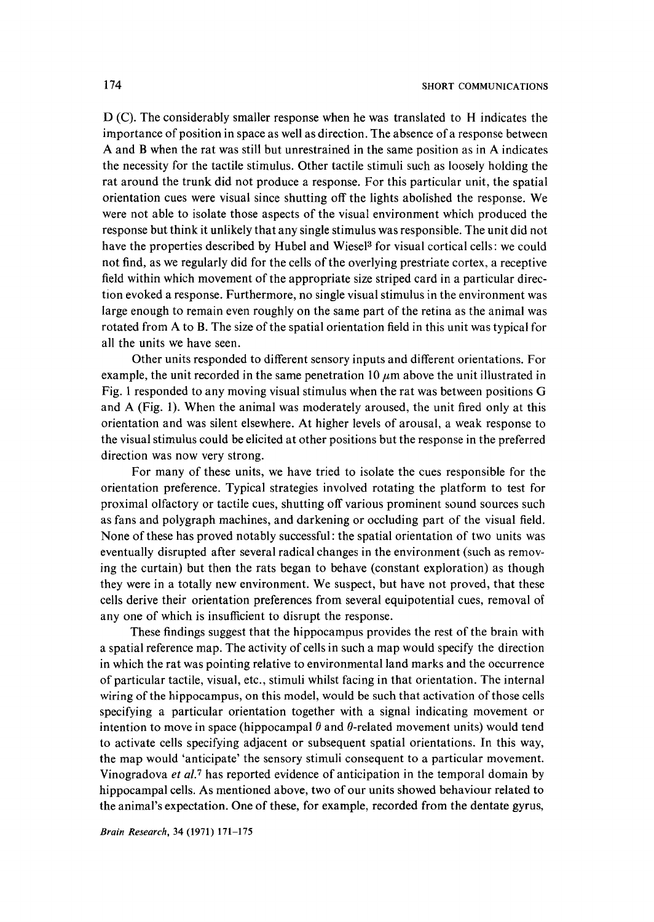D (C). The considerably smaller response when he was translated to H indicates the importance of position in space as well as direction. The absence of a response between A and B when the rat was still but unrestrained in the same position as in A indicates the necessity for the tactile stimulus. Other tactile stimuli such as loosely holding the rat around the trunk did not produce a response. For this particular unit, the spatial orientation cues were visual since shutting off the lights abolished the response. We were not able to isolate those aspects of the visual environment which produced the response but think it unlikely that any single stimulus was responsible. The unit did not have the properties described by Hubel and Wiesel<sup>3</sup> for visual cortical cells: we could not find, as we regularly did for the cells of the overlying prestriate cortex, a receptive field within which movement of the appropriate size striped card in a particular direction evoked a response. Furthermore, no single visual stimulus in the environment was large enough to remain even roughly on the same part of the retina as the animal was rotated from A to B. The size of the spatial orientation field in this unit was typical for all the units we have seen.

Other units responded to different sensory inputs and different orientations. For example, the unit recorded in the same penetration  $10 \mu m$  above the unit illustrated in Fig. 1 responded to any moving visual stimulus when the rat was between positions G and A (Fig. 1). When the animal was moderately aroused, the unit fired only at this orientation and was silent elsewhere. At higher levels of arousal, a weak response to the visual stimulus could be elicited at other positions but the response in the preferred direction was now very strong.

For many of these units, we have tried to isolate the cues responsible for the orientation preference. Typical strategies involved rotating the platform to test for proximal olfactory or tactile cues, shutting off various prominent sound sources such as fans and polygraph machines, and darkening or occluding part of the visual field. None of these has proved notably successful: the spatial orientation of two units was eventually disrupted after several radical changes in the environment (such as removing the curtain) but then the rats began to behave (constant exploration) as though they were in a totally new environment. We suspect, but have not proved, that these cells derive their orientation preferences from several equipotential cues, removal of any one of which is insufficient to disrupt the response.

These findings suggest that the hippocampus provides the rest of the brain with a spatial reference map. The activity of cells in such a map would specify the direction in which the rat was pointing relative to environmental land marks and the occurrence of particular tactile, visual, etc., stimuli whilst facing in that orientation. The internal wiring of the hippocampus, on this model, would be such that activation of those cells specifying a particular orientation together with a signal indicating movement or intention to move in space (hippocampal  $\theta$  and  $\theta$ -related movement units) would tend to activate cells specifying adjacent or subsequent spatial orientations. In this way, the map would 'anticipate' the sensory stimuli consequent to a particular movement. Vinogradova *et al. 7* has reported evidence of anticipation in the temporal domain by hippocampal cells. As mentioned above, two of our units showed behaviour related to the animal's expectation. One of these, for example, recorded from the dentate gyrus,